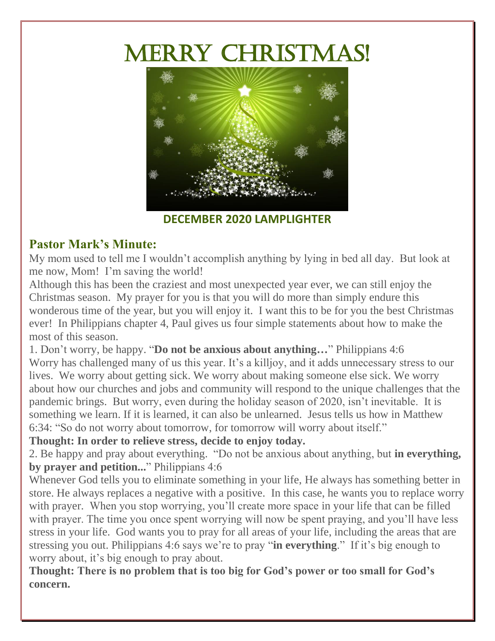# MERRY CHRISTMAS!



**DECEMBER 2020 LAMPLIGHTER**

#### **Pastor Mark's Minute:**

My mom used to tell me I wouldn't accomplish anything by lying in bed all day. But look at me now, Mom! I'm saving the world!

Although this has been the craziest and most unexpected year ever, we can still enjoy the Christmas season. My prayer for you is that you will do more than simply endure this wonderous time of the year, but you will enjoy it. I want this to be for you the best Christmas ever! In Philippians chapter 4, Paul gives us four simple statements about how to make the most of this season.

1. Don't worry, be happy. "**Do not be anxious about anything…**" Philippians 4:6 Worry has challenged many of us this year. It's a killjoy, and it adds unnecessary stress to our lives. We worry about getting sick. We worry about making someone else sick. We worry about how our churches and jobs and community will respond to the unique challenges that the pandemic brings. But worry, even during the holiday season of 2020, isn't inevitable. It is something we learn. If it is learned, it can also be unlearned. Jesus tells us how in Matthew 6:34: "So do not worry about tomorrow, for tomorrow will worry about itself."

**Thought: In order to relieve stress, decide to enjoy today.** 

2. Be happy and pray about everything. "Do not be anxious about anything, but **in everything, by prayer and petition...**" Philippians 4:6

Whenever God tells you to eliminate something in your life, He always has something better in store. He always replaces a negative with a positive. In this case, he wants you to replace worry with prayer. When you stop worrying, you'll create more space in your life that can be filled with prayer. The time you once spent worrying will now be spent praying, and you'll have less stress in your life. God wants you to pray for all areas of your life, including the areas that are stressing you out. Philippians 4:6 says we're to pray "**in everything**." If it's big enough to worry about, it's big enough to pray about.

**Thought: There is no problem that is too big for God's power or too small for God's concern.**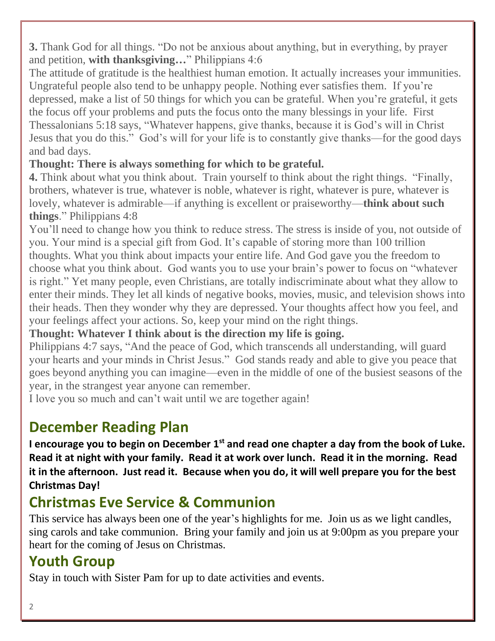**3.** Thank God for all things. "Do not be anxious about anything, but in everything, by prayer and petition, **with thanksgiving…**" Philippians 4:6

The attitude of gratitude is the healthiest human emotion. It actually increases your immunities. Ungrateful people also tend to be unhappy people. Nothing ever satisfies them. If you're depressed, make a list of 50 things for which you can be grateful. When you're grateful, it gets the focus off your problems and puts the focus onto the many blessings in your life. First Thessalonians 5:18 says, "Whatever happens, give thanks, because it is God's will in Christ Jesus that you do this." God's will for your life is to constantly give thanks—for the good days and bad days.

#### **Thought: There is always something for which to be grateful.**

**4.** Think about what you think about. Train yourself to think about the right things. "Finally, brothers, whatever is true, whatever is noble, whatever is right, whatever is pure, whatever is lovely, whatever is admirable—if anything is excellent or praiseworthy—**think about such things**." Philippians 4:8

You'll need to change how you think to reduce stress. The stress is inside of you, not outside of you. Your mind is a special gift from God. It's capable of storing more than 100 trillion thoughts. What you think about impacts your entire life. And God gave you the freedom to choose what you think about. God wants you to use your brain's power to focus on "whatever is right." Yet many people, even Christians, are totally indiscriminate about what they allow to enter their minds. They let all kinds of negative books, movies, music, and television shows into their heads. Then they wonder why they are depressed. Your thoughts affect how you feel, and your feelings affect your actions. So, keep your mind on the right things.

**Thought: Whatever I think about is the direction my life is going.** 

Philippians 4:7 says, "And the peace of God, which transcends all understanding, will guard your hearts and your minds in Christ Jesus." God stands ready and able to give you peace that goes beyond anything you can imagine—even in the middle of one of the busiest seasons of the year, in the strangest year anyone can remember.

I love you so much and can't wait until we are together again!

## **December Reading Plan**

**I encourage you to begin on December 1st and read one chapter a day from the book of Luke. Read it at night with your family. Read it at work over lunch. Read it in the morning. Read it in the afternoon. Just read it. Because when you do, it will well prepare you for the best Christmas Day!** 

## **Christmas Eve Service & Communion**

This service has always been one of the year's highlights for me. Join us as we light candles, sing carols and take communion. Bring your family and join us at 9:00pm as you prepare your heart for the coming of Jesus on Christmas.

## **Youth Group**

Stay in touch with Sister Pam for up to date activities and events.